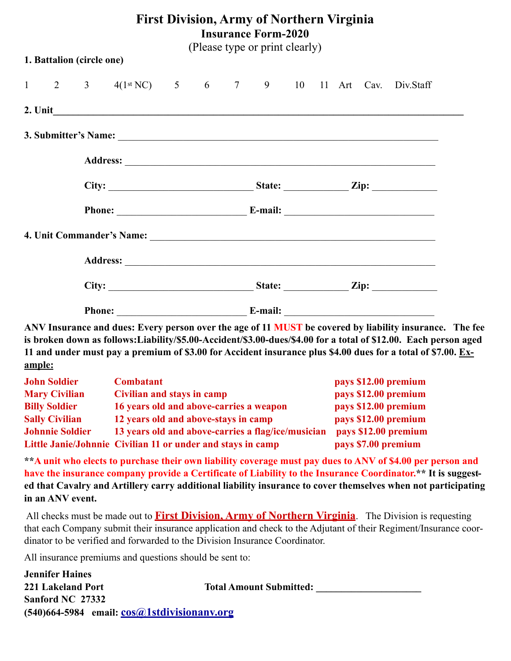| <b>First Division, Army of Northern Virginia</b><br><b>Insurance Form-2020</b><br>(Please type or print clearly) |                           |  |                                                  |  |  |  |  |  |  |  |  |  |
|------------------------------------------------------------------------------------------------------------------|---------------------------|--|--------------------------------------------------|--|--|--|--|--|--|--|--|--|
|                                                                                                                  | 1. Battalion (circle one) |  |                                                  |  |  |  |  |  |  |  |  |  |
|                                                                                                                  |                           |  | 1 2 3 4(1st NC) 5 6 7 9 10 11 Art Cav. Div.Staff |  |  |  |  |  |  |  |  |  |
|                                                                                                                  |                           |  |                                                  |  |  |  |  |  |  |  |  |  |
|                                                                                                                  |                           |  |                                                  |  |  |  |  |  |  |  |  |  |
|                                                                                                                  |                           |  |                                                  |  |  |  |  |  |  |  |  |  |
|                                                                                                                  |                           |  |                                                  |  |  |  |  |  |  |  |  |  |
|                                                                                                                  |                           |  | Phone: E-mail: E-mail:                           |  |  |  |  |  |  |  |  |  |
|                                                                                                                  |                           |  |                                                  |  |  |  |  |  |  |  |  |  |
|                                                                                                                  |                           |  |                                                  |  |  |  |  |  |  |  |  |  |
|                                                                                                                  |                           |  |                                                  |  |  |  |  |  |  |  |  |  |
|                                                                                                                  |                           |  | Phone: <u>E-mail:</u>                            |  |  |  |  |  |  |  |  |  |

**ANV Insurance and dues: Every person over the age of 11 MUST be covered by liability insurance. The fee is broken down as follows:Liability/\$5.00-Accident/\$3.00-dues/\$4.00 for a total of \$12.00. Each person aged 11 and under must pay a premium of \$3.00 for Accident insurance plus \$4.00 dues for a total of \$7.00. Example:**

| <b>John Soldier</b>    | <b>Combatant</b>                                            | pays \$12.00 premium |
|------------------------|-------------------------------------------------------------|----------------------|
| <b>Mary Civilian</b>   | Civilian and stays in camp                                  | pays \$12.00 premium |
| <b>Billy Soldier</b>   | 16 years old and above-carries a weapon                     | pays \$12.00 premium |
| <b>Sally Civilian</b>  | 12 years old and above-stays in camp                        | pays \$12.00 premium |
| <b>Johnnie Soldier</b> | 13 years old and above-carries a flag/ice/musician          | pays \$12.00 premium |
|                        | Little Janie/Johnnie Civilian 11 or under and stays in camp | pays \$7.00 premium  |

**\*\*A unit who elects to purchase their own liability coverage must pay dues to ANV of \$4.00 per person and**  have the insurance company provide a Certificate of Liability to the Insurance Coordinator.<sup>\*\*</sup> It is suggest**ed that Cavalry and Artillery carry additional liability insurance to cover themselves when not participating in an ANV event.** 

All checks must be made out to **First Division, Army of Northern Virginia**. The Division is requesting that each Company submit their insurance application and check to the Adjutant of their Regiment/Insurance coordinator to be verified and forwarded to the Division Insurance Coordinator.

All insurance premiums and questions should be sent to:

*<u>Ionnifor</u>* Haines

| оспінсі папісэ                                       |                                |
|------------------------------------------------------|--------------------------------|
| 221 Lakeland Port                                    | <b>Total Amount Submitted:</b> |
| Sanford NC 27332                                     |                                |
| $(540)$ 664-5984 email: $\cos(a)$ 1stdivisionany.org |                                |